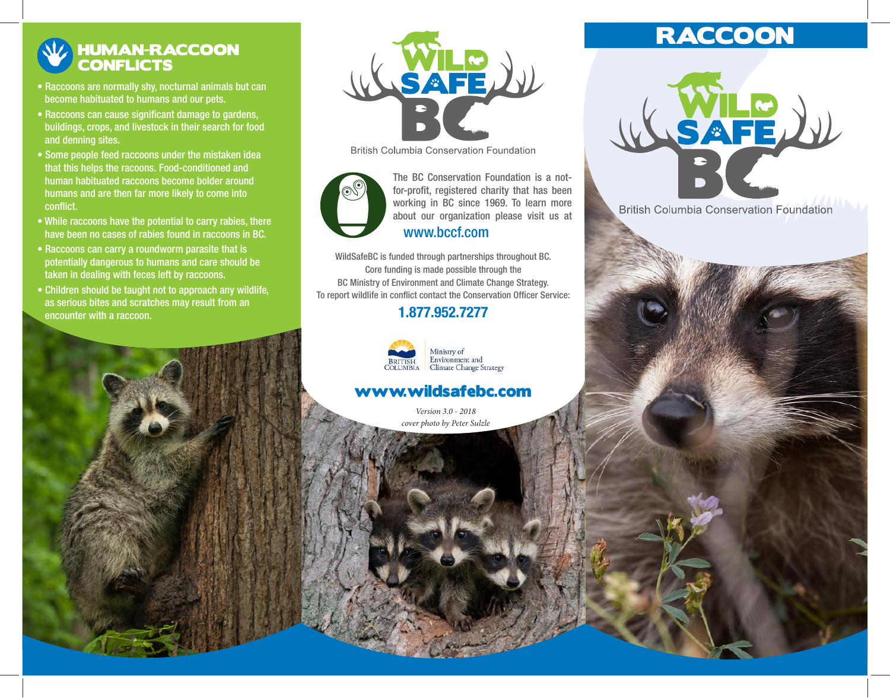## HUMAN-RACCOON **CONFLICTS**

- Raccoons are normally shy, nocturnal animals but can become habituated to humans and our pets.
- Raccoons can cause significant damage to gardens, buildings, crops, and livestock in their search for food and denning sites.
- Some people feed raccoons under the mistaken idea that this helps the racoons. Food-conditioned and human habituated raccoons become bolder around humans and are then far more likely to come into conflict.
- While raccoons have the potential to carry rabies, there have been no cases of rabies found in raccoons in BC.
- Raccoons can carry a roundworm parasite that is potentially dangerous to humans and care should be taken in dealing with feces left by raccoons.
- Children should be taught not to approach any wildlife, as serious bites and scratches may result from an encounter with a raccoon.



**British Columbia Conservation Foundation** 



working in BC since 1969. To learn more about our organization please visit us at The BC Conservation Foundation is a notfor-profit, registered charity that has been www.bccf.com

WildSafeBC is funded through partnerships throughout BC. Core funding is made possible through the BC Ministry of Environment and Climate Change Strategy. To report wildlife in conflict contact the Conservation Officer Service:

### 1.877.952.7277



# Environment and<br>Climate Change Strategy

## www.wildsafebc.com

*Version 3.0 - 2018 cover photo by Peter Sulzle*

## **RACCOON**

**AFE** 

**British Columbia Conservation Foundation**